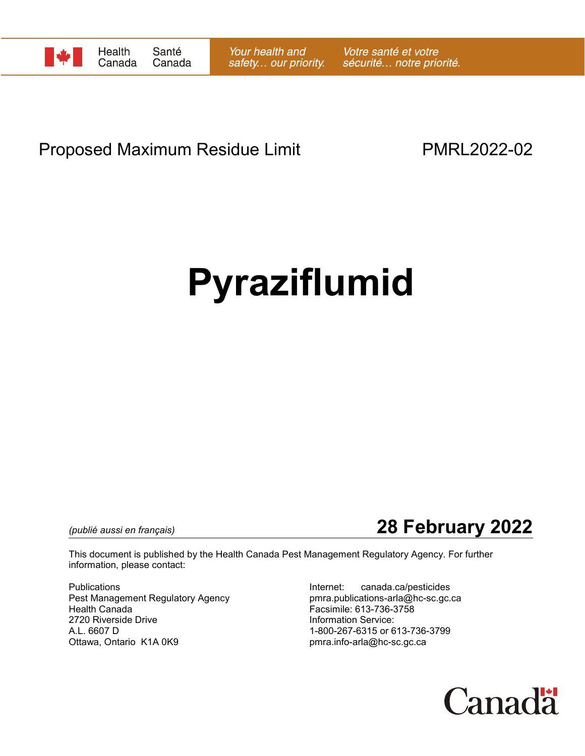

## Proposed Maximum Residue Limit **PMRL2022-02**

# **Pyraziflumid**

*(publié aussi en français)* **28 February 2022**

This document is published by the Health Canada Pest Management Regulatory Agency. For further information, please contact:

Publications Internet: canada.ca/pesticides Pest Management Regulatory Agency Health Canada Facsimile: 613-736-3758 2720 Riverside Drive **Information Service:** A.L. 6607 D 1-800-267-6315 or 613-736-3799

pmra.info-arla@hc-sc.gc.ca

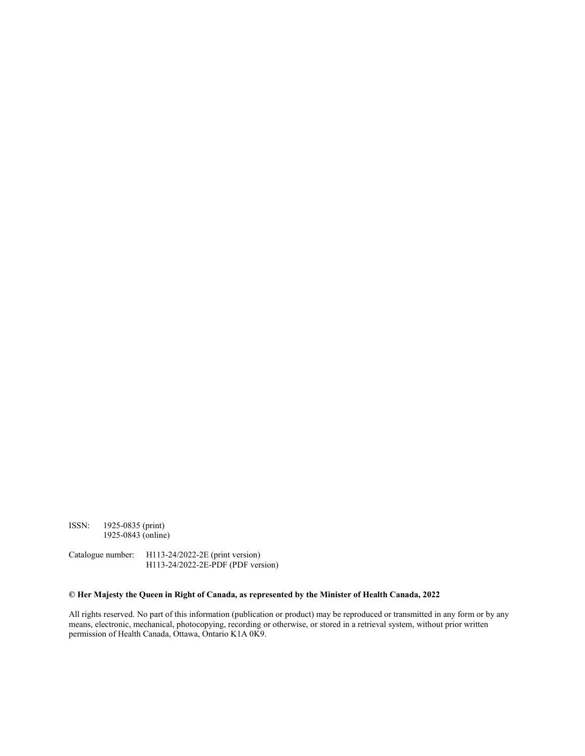ISSN: 1925-0835 (print) 1925-0843 (online)

Catalogue number: H113-24/2022-2E (print version) H113-24/2022-2E-PDF (PDF version)

#### **© Her Majesty the Queen in Right of Canada, as represented by the Minister of Health Canada, 2022**

All rights reserved. No part of this information (publication or product) may be reproduced or transmitted in any form or by any means, electronic, mechanical, photocopying, recording or otherwise, or stored in a retrieval system, without prior written permission of Health Canada, Ottawa, Ontario K1A 0K9.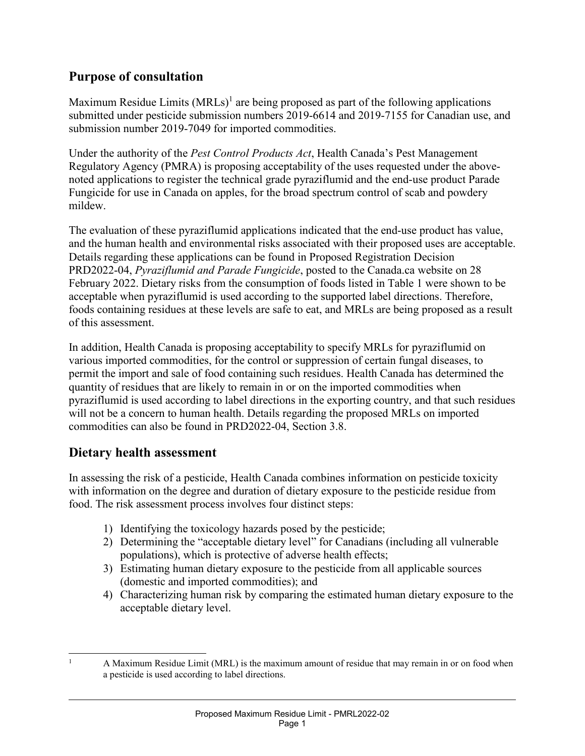#### **Purpose of consultation**

Maximum Residue Limits  $(MRLs)^{1}$  are being proposed as part of the following applications submitted under pesticide submission numbers 2019-6614 and 2019-7155 for Canadian use, and submission number 2019-7049 for imported commodities.

Under the authority of the *Pest Control Products Act*, Health Canada's Pest Management Regulatory Agency (PMRA) is proposing acceptability of the uses requested under the abovenoted applications to register the technical grade pyraziflumid and the end-use product Parade Fungicide for use in Canada on apples, for the broad spectrum control of scab and powdery mildew.

The evaluation of these pyraziflumid applications indicated that the end-use product has value, and the human health and environmental risks associated with their proposed uses are acceptable. Details regarding these applications can be found in Proposed Registration Decision PRD2022-04, *Pyraziflumid and Parade Fungicide*, posted to the Canada.ca website on 28 February 2022. Dietary risks from the consumption of foods listed in Table 1 were shown to be acceptable when pyraziflumid is used according to the supported label directions. Therefore, foods containing residues at these levels are safe to eat, and MRLs are being proposed as a result of this assessment.

In addition, Health Canada is proposing acceptability to specify MRLs for pyraziflumid on various imported commodities, for the control or suppression of certain fungal diseases, to permit the import and sale of food containing such residues. Health Canada has determined the quantity of residues that are likely to remain in or on the imported commodities when pyraziflumid is used according to label directions in the exporting country, and that such residues will not be a concern to human health. Details regarding the proposed MRLs on imported commodities can also be found in PRD2022-04, Section 3.8.

#### **Dietary health assessment**

In assessing the risk of a pesticide, Health Canada combines information on pesticide toxicity with information on the degree and duration of dietary exposure to the pesticide residue from food. The risk assessment process involves four distinct steps:

- 1) Identifying the toxicology hazards posed by the pesticide;
- 2) Determining the "acceptable dietary level" for Canadians (including all vulnerable populations), which is protective of adverse health effects;
- 3) Estimating human dietary exposure to the pesticide from all applicable sources (domestic and imported commodities); and
- 4) Characterizing human risk by comparing the estimated human dietary exposure to the acceptable dietary level.

 <sup>1</sup> A Maximum Residue Limit (MRL) is the maximum amount of residue that may remain in or on food when a pesticide is used according to label directions.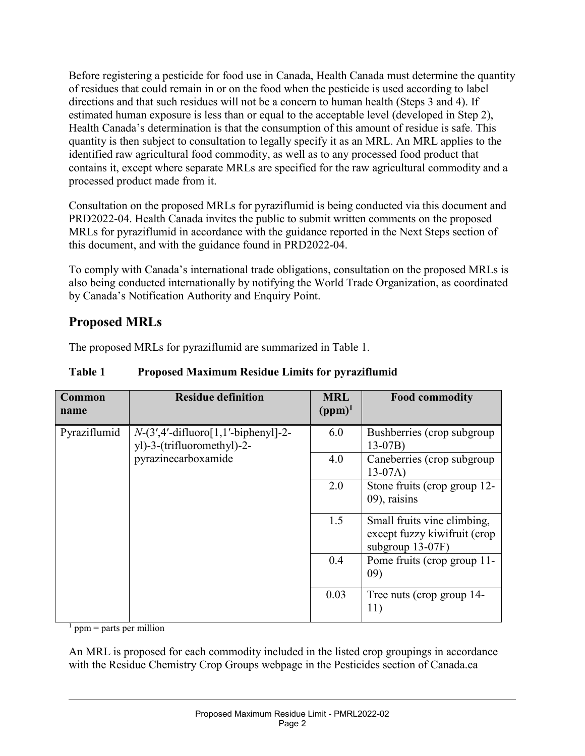Before registering a pesticide for food use in Canada, Health Canada must determine the quantity of residues that could remain in or on the food when the pesticide is used according to label directions and that such residues will not be a concern to human health (Steps 3 and 4). If estimated human exposure is less than or equal to the acceptable level (developed in Step 2), Health Canada's determination is that the consumption of this amount of residue is safe. This quantity is then subject to consultation to legally specify it as an MRL. An MRL applies to the identified raw agricultural food commodity, as well as to any processed food product that contains it, except where separate MRLs are specified for the raw agricultural commodity and a processed product made from it.

Consultation on the proposed MRLs for pyraziflumid is being conducted via this document and PRD2022-04. Health Canada invites the public to submit written comments on the proposed MRLs for pyraziflumid in accordance with the guidance reported in the Next Steps section of this document, and with the guidance found in PRD2022-04.

To comply with Canada's international trade obligations, consultation on the proposed MRLs is also being conducted internationally by notifying the World Trade Organization, as coordinated by Canada's Notification Authority and Enquiry Point.

### **Proposed MRLs**

The proposed MRLs for pyraziflumid are summarized in Table 1.

| <b>Common</b><br>name | <b>Residue definition</b>                                                                   | <b>MRL</b><br>$(ppm)^1$ | <b>Food commodity</b>                                                           |
|-----------------------|---------------------------------------------------------------------------------------------|-------------------------|---------------------------------------------------------------------------------|
| Pyraziflumid          | $N-(3',4'-diffluoro[1,1'-bipheny1]-2-$<br>yl)-3-(trifluoromethyl)-2-<br>pyrazinecarboxamide | 6.0                     | Bushberries (crop subgroup)<br>$13-07B$                                         |
|                       |                                                                                             | 4.0                     | Caneberries (crop subgroup<br>$13-07A)$                                         |
|                       |                                                                                             | 2.0                     | Stone fruits (crop group 12-<br>09), raisins                                    |
|                       |                                                                                             | 1.5                     | Small fruits vine climbing,<br>except fuzzy kiwifruit (crop<br>subgroup 13-07F) |
|                       |                                                                                             | 0.4                     | Pome fruits (crop group 11-<br>09)                                              |
|                       |                                                                                             | 0.03                    | Tree nuts (crop group 14-<br>11)                                                |

#### **Table 1 Proposed Maximum Residue Limits for pyraziflumid**

 $1$  ppm = parts per million

An MRL is proposed for each commodity included in the listed crop groupings in accordance with the Residue Chemistry Crop Groups webpage in the Pesticides section of Canada.ca